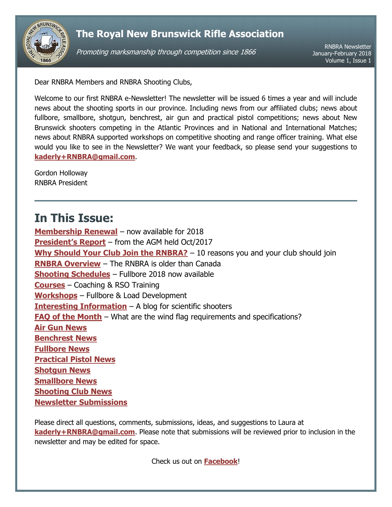

Promoting marksmanship through competition since 1866

RNBRA Newsletter January-February 2018 Volume 1, Issue 1

<span id="page-0-0"></span>Dear RNBRA Members and RNBRA Shooting Clubs,

Welcome to our first RNBRA e-Newsletter! The newsletter will be issued 6 times a year and will include news about the shooting sports in our province. Including news from our affiliated clubs; news about fullbore, smallbore, shotgun, benchrest, air gun and practical pistol competitions; news about New Brunswick shooters competing in the Atlantic Provinces and in National and International Matches; news about RNBRA supported workshops on competitive shooting and range officer training. What else would you like to see in the Newsletter? We want your feedback, so please send your suggestions to **[kaderly+RNBRA@gmail.com](mailto:kaderly+RNBRA@gmail.com)**.

Gordon Holloway RNBRA President

# **In This Issue:**

**[Membership Renewal](#page-1-0)** – now available for 2018 **[President's Report](#page-1-1)** – from the AGM held Oct/2017 **[Why Should Your Club Join the RNBRA?](#page-1-2)** - 10 reasons you and your club should join **RNBRA [Overview](#page-2-0)** – The RNBRA is older than Canada **[Shooting Schedules](#page-3-0)** – Fullbore 2018 now available **[Courses](#page-3-1)** – Coaching & RSO Training **[Workshops](#page-4-0)** – Fullbore & Load Development **[Interesting Information](#page-4-1)** – A blog for scientific shooters **[FAQ of the Month](#page-4-2)** – What are the wind flag requirements and specifications? **[Air Gun](#page-5-0) News [Benchrest News](#page-5-1) [Fullbore News](#page-5-2) [Practical Pistol](#page-5-3) News [Shotgun News](#page-6-0) [Smallbore News](#page-6-1) [Shooting Club News](#page-6-2) [Newsletter Submissions](#page-7-0)**

Please direct all questions, comments, submissions, ideas, and suggestions to Laura at **[kaderly+RNBRA@gmail.com](mailto:kaderly+RNBRA@gmail.com?subject=RNBRA%20Newsletter)**. Please note that submissions will be reviewed prior to inclusion in the newsletter and may be edited for space.

Check us out on **[Facebook](http://www.facebook.com/RNBRA)**!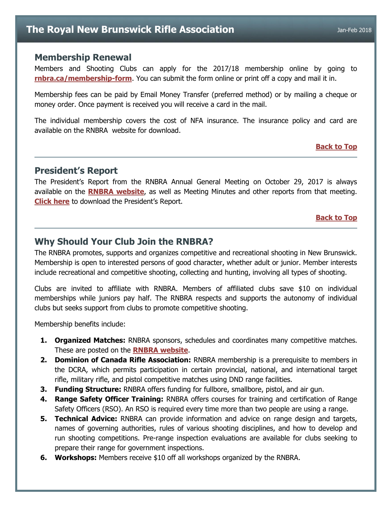### <span id="page-1-0"></span>**Membership Renewal**

Members and Shooting Clubs can apply for the 2017/18 membership online by going to **[rnbra.ca/membership-form](http://rnbra.ca/membership-form/)**. You can submit the form online or print off a copy and mail it in.

Membership fees can be paid by Email Money Transfer (preferred method) or by mailing a cheque or money order. Once payment is received you will receive a card in the mail.

The individual membership covers the cost of NFA insurance. The insurance policy and card are available on the RNBRA website for download.

### **[Back to Top](#page-0-0)**

## <span id="page-1-1"></span>**President's Report**

The President's Report from the RNBRA Annual General Meeting on October 29, 2017 is always available on the **[RNBRA website](http://rnbra.ca/about-rnbra/meeting-minutes/)**, as well as Meeting Minutes and other reports from that meeting. **[Click here](http://rnbra.ca/wp-content/uploads/2017/11/2017_RNBRA_AGM_Presidents_Report.pdf)** to download the President's Report.

#### **[Back to Top](#page-0-0)**

### <span id="page-1-2"></span>**Why Should Your Club Join the RNBRA?**

The RNBRA promotes, supports and organizes competitive and recreational shooting in New Brunswick. Membership is open to interested persons of good character, whether adult or junior. Member interests include recreational and competitive shooting, collecting and hunting, involving all types of shooting.

Clubs are invited to affiliate with RNBRA. Members of affiliated clubs save \$10 on individual memberships while juniors pay half. The RNBRA respects and supports the autonomy of individual clubs but seeks support from clubs to promote competitive shooting.

Membership benefits include:

- **1. Organized Matches:** RNBRA sponsors, schedules and coordinates many competitive matches. These are posted on the **[RNBRA website](http://rnbra.ca/)**.
- **2. Dominion of Canada Rifle Association:** RNBRA membership is a prerequisite to members in the DCRA, which permits participation in certain provincial, national, and international target rifle, military rifle, and pistol competitive matches using DND range facilities.
- **3. Funding Structure:** RNBRA offers funding for fullbore, smallbore, pistol, and air gun.
- **4. Range Safety Officer Training:** RNBRA offers courses for training and certification of Range Safety Officers (RSO). An RSO is required every time more than two people are using a range.
- **5. Technical Advice:** RNBRA can provide information and advice on range design and targets, names of governing authorities, rules of various shooting disciplines, and how to develop and run shooting competitions. Pre-range inspection evaluations are available for clubs seeking to prepare their range for government inspections.
- **6. Workshops:** Members receive \$10 off all workshops organized by the RNBRA.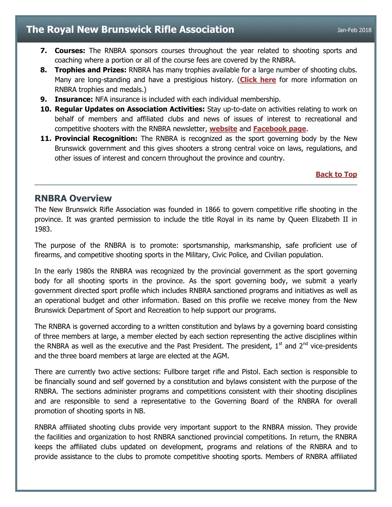- **7. Courses:** The RNBRA sponsors courses throughout the year related to shooting sports and coaching where a portion or all of the course fees are covered by the RNBRA.
- **8. Trophies and Prizes:** RNBRA has many trophies available for a large number of shooting clubs. Many are long-standing and have a prestigious history. (**[Click here](http://rnbra.ca/about-rnbra/rnbra-trophies-and-medals-1861-to-present/)** for more information on RNBRA trophies and medals.)
- **9. Insurance:** NFA insurance is included with each individual membership.
- **10. Regular Updates on Association Activities:** Stay up-to-date on activities relating to work on behalf of members and affiliated clubs and news of issues of interest to recreational and competitive shooters with the RNBRA newsletter, **[website](http://www.rnbra.ca/)** and **[Facebook page](http://www.facebook.com/rnbra)**.
- **11. Provincial Recognition:** The RNBRA is recognized as the sport governing body by the New Brunswick government and this gives shooters a strong central voice on laws, regulations, and other issues of interest and concern throughout the province and country.

### **[Back to Top](#page-0-0)**

### <span id="page-2-0"></span>**RNBRA Overview**

The New Brunswick Rifle Association was founded in 1866 to govern competitive rifle shooting in the province. It was granted permission to include the title Royal in its name by Queen Elizabeth II in 1983.

The purpose of the RNBRA is to promote: sportsmanship, marksmanship, safe proficient use of firearms, and competitive shooting sports in the Military, Civic Police, and Civilian population.

In the early 1980s the RNBRA was recognized by the provincial government as the sport governing body for all shooting sports in the province. As the sport governing body, we submit a yearly government directed sport profile which includes RNBRA sanctioned programs and initiatives as well as an operational budget and other information. Based on this profile we receive money from the New Brunswick Department of Sport and Recreation to help support our programs.

The RNBRA is governed according to a written constitution and bylaws by a governing board consisting of three members at large, a member elected by each section representing the active disciplines within the RNBRA as well as the executive and the Past President. The president,  $1<sup>st</sup>$  and  $2<sup>nd</sup>$  vice-presidents and the three board members at large are elected at the AGM.

There are currently two active sections: Fullbore target rifle and Pistol. Each section is responsible to be financially sound and self governed by a constitution and bylaws consistent with the purpose of the RNBRA. The sections administer programs and competitions consistent with their shooting disciplines and are responsible to send a representative to the Governing Board of the RNBRA for overall promotion of shooting sports in NB.

RNBRA affiliated shooting clubs provide very important support to the RNBRA mission. They provide the facilities and organization to host RNBRA sanctioned provincial competitions. In return, the RNBRA keeps the affiliated clubs updated on development, programs and relations of the RNBRA and to provide assistance to the clubs to promote competitive shooting sports. Members of RNBRA affiliated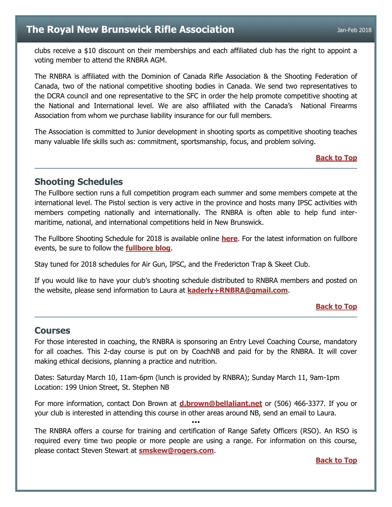clubs receive a \$10 discount on their memberships and each affiliated club has the right to appoint a voting member to attend the RNBRA AGM.

The RNBRA is affiliated with the Dominion of Canada Rifle Association & the Shooting Federation of Canada, two of the national competitive shooting bodies in Canada. We send two representatives to the DCRA council and one representative to the SFC in order the help promote competitive shooting at the National and International level. We are also affiliated with the Canada's National Firearms Association from whom we purchase liability insurance for our full members.

The Association is committed to Junior development in shooting sports as competitive shooting teaches many valuable life skills such as: commitment, sportsmanship, focus, and problem solving.

### **[Back to Top](#page-0-0)**

## <span id="page-3-0"></span>**Shooting Schedules**

The Fullbore section runs a full competition program each summer and some members compete at the international level. The Pistol section is very active in the province and hosts many IPSC activities with members competing nationally and internationally. The RNBRA is often able to help fund intermaritime, national, and international competitions held in New Brunswick.

The Fullbore Shooting Schedule for 2018 is available online **[here](https://docs.google.com/document/d/1axJu328xggVM8xT1e30vrgMw5i4zQF0P8i0i8G5yCuI/edit?usp=sharing)**. For the latest information on fullbore events, be sure to follow the **[fullbore blog](http://rnbrafullbore.blogspot.ca/)**.

Stay tuned for 2018 schedules for Air Gun, IPSC, and the Fredericton Trap & Skeet Club.

If you would like to have your club's shooting schedule distributed to RNBRA members and posted on the website, please send information to Laura at **[kaderly+RNBRA@gmail.com](mailto:kaderly+RNBRA@gmail.com?subject=Newsletter-Shooting%20Schedule)**.

### **[Back to Top](#page-0-0)**

### <span id="page-3-1"></span>**Courses**

For those interested in coaching, the RNBRA is sponsoring an Entry Level Coaching Course, mandatory for all coaches. This 2-day course is put on by CoachNB and paid for by the RNBRA. It will cover making ethical decisions, planning a practice and nutrition.

Dates: Saturday March 10, 11am-6pm (lunch is provided by RNBRA); Sunday March 11, 9am-1pm Location: 199 Union Street, St. Stephen NB

For more information, contact Don Brown at **[d.brown@bellaliant.net](mailto:d.brown@bellaliant.net?subject=Coaching%20Course)** or (506) 466-3377. If you or your club is interested in attending this course in other areas around NB, send an email to Laura.

•••

The RNBRA offers a course for training and certification of Range Safety Officers (RSO). An RSO is required every time two people or more people are using a range. For information on this course, please contact Steven Stewart at **[smskew@rogers.com](mailto:smskew@rogers.com?subject=RSO%20Course%20Information%20Request)**.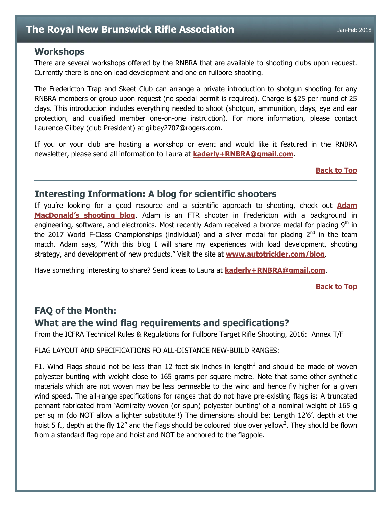## <span id="page-4-0"></span>**Workshops**

There are several workshops offered by the RNBRA that are available to shooting clubs upon request. Currently there is one on load development and one on fullbore shooting.

The Fredericton Trap and Skeet Club can arrange a private introduction to shotgun shooting for any RNBRA members or group upon request (no special permit is required). Charge is \$25 per round of 25 clays. This introduction includes everything needed to shoot (shotgun, ammunition, clays, eye and ear protection, and qualified member one-on-one instruction). For more information, please contact Laurence Gilbey (club President) at gilbey2707@rogers.com.

If you or your club are hosting a workshop or event and would like it featured in the RNBRA newsletter, please send all information to Laura at **[kaderly+RNBRA@gmail.com](mailto:kaderly+RNBRA@gmail.com?subject=Newsletter-Workshop)**.

**[Back to Top](#page-0-0)**

## <span id="page-4-1"></span>**Interesting Information: A blog for scientific shooters**

If you're looking for a good resource and a scientific approach to shooting, check out **[Adam](https://www.autotrickler.com/blog)  [MacDonald's shooting blog](https://www.autotrickler.com/blog)**. Adam is an FTR shooter in Fredericton with a background in engineering, software, and electronics. Most recently Adam received a bronze medal for placing  $9<sup>th</sup>$  in the 2017 World F-Class Championships (individual) and a silver medal for placing  $2^{nd}$  in the team match. Adam says, "With this blog I will share my experiences with load development, shooting strategy, and development of new products." Visit the site at **<www.autotrickler.com/blog>**.

Have something interesting to share? Send ideas to Laura at **[kaderly+RNBRA@gmail.com](mailto:kaderly+RNBRA@gmail.com?subject=Newsletter-Interesting%20Information)**.

#### **[Back to Top](#page-0-0)**

## <span id="page-4-2"></span>**FAQ of the Month:**

## **What are the wind flag requirements and specifications?**

From the ICFRA Technical Rules & Regulations for Fullbore Target Rifle Shooting, 2016: Annex T/F

FLAG LAYOUT AND SPECIFICATIONS FO ALL-DISTANCE NEW-BUILD RANGES:

F1. Wind Flags should not be less than 12 foot six inches in length<sup>1</sup> and should be made of woven polyester bunting with weight close to 165 grams per square metre. Note that some other synthetic materials which are not woven may be less permeable to the wind and hence fly higher for a given wind speed. The all-range specifications for ranges that do not have pre-existing flags is: A truncated pennant fabricated from 'Admiralty woven (or spun) polyester bunting' of a nominal weight of 165 g per sq m (do NOT allow a lighter substitute!!) The dimensions should be: Length 12'6', depth at the hoist 5 f., depth at the fly 12" and the flags should be coloured blue over yellow<sup>2</sup>. They should be flown from a standard flag rope and hoist and NOT be anchored to the flagpole.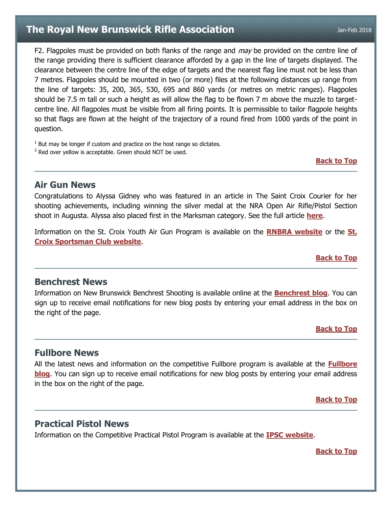F2. Flagpoles must be provided on both flanks of the range and may be provided on the centre line of the range providing there is sufficient clearance afforded by a gap in the line of targets displayed. The clearance between the centre line of the edge of targets and the nearest flag line must not be less than 7 metres. Flagpoles should be mounted in two (or more) files at the following distances up range from the line of targets: 35, 200, 365, 530, 695 and 860 yards (or metres on metric ranges). Flagpoles should be 7.5 m tall or such a height as will allow the flag to be flown 7 m above the muzzle to targetcentre line. All flagpoles must be visible from all firing points. It is permissible to tailor flagpole heights so that flags are flown at the height of the trajectory of a round fired from 1000 yards of the point in question.

 $1$  But may be longer if custom and practice on the host range so dictates.

 $2$  Red over yellow is acceptable. Green should NOT be used.

**[Back to Top](#page-0-0)**

## <span id="page-5-0"></span>**Air Gun News**

Congratulations to Alyssa Gidney who was featured in an article in The Saint Croix Courier for her shooting achievements, including winning the silver medal at the NRA Open Air Rifle/Pistol Section shoot in Augusta. Alyssa also placed first in the Marksman category. See the full article **[here](http://stcroixcourier.ca/st-croix-sportsman-club-shooter-takes-silver-international-event/)**.

Information on the St. Croix Youth Air Gun Program is available on the **[RNBRA website](http://rnbra.ca/)** or the **[St.](http://www.stcroixsportsmanclub.com/apps/blog/categories/show/1610968-youth-airgun)  [Croix Sportsman Club website](http://www.stcroixsportsmanclub.com/apps/blog/categories/show/1610968-youth-airgun)**.

**[Back to Top](#page-0-0)**

## <span id="page-5-1"></span>**Benchrest News**

Information on New Brunswick Benchrest Shooting is available online at the **[Benchrest blog](http://newbrunswick-benchrest.blogspot.ca/)**. You can sign up to receive email notifications for new blog posts by entering your email address in the box on the right of the page.

**[Back to Top](#page-0-0)**

## <span id="page-5-2"></span>**Fullbore News**

All the latest news and information on the competitive Fullbore program is available at the **[Fullbore](http://rnbrafullbore.blogspot.ca/)  [blog](http://rnbrafullbore.blogspot.ca/)**. You can sign up to receive email notifications for new blog posts by entering your email address in the box on the right of the page.

**[Back to Top](#page-0-0)**

## <span id="page-5-3"></span>**Practical Pistol News**

Information on the Competitive Practical Pistol Program is available at the **[IPSC website](http://www.ipscnb.ca/)**.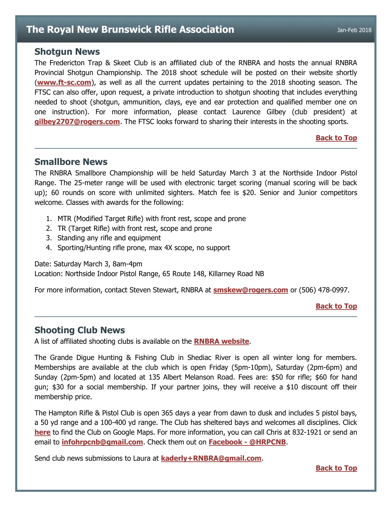### <span id="page-6-0"></span>**Shotgun News**

The Fredericton Trap & Skeet Club is an affiliated club of the RNBRA and hosts the annual RNBRA Provincial Shotgun Championship. The 2018 shoot schedule will be posted on their website shortly (**<www.ft-sc.com>**), as well as all the current updates pertaining to the 2018 shooting season. The FTSC can also offer, upon request, a private introduction to shotgun shooting that includes everything needed to shoot (shotgun, ammunition, clays, eye and ear protection and qualified member one on one instruction). For more information, please contact Laurence Gilbey (club president) at **[gilbey2707@rogers.com](mailto:gilbey2707@rogers.com)**. The FTSC looks forward to sharing their interests in the shooting sports.

### **[Back to Top](#page-0-0)**

### <span id="page-6-1"></span>**Smallbore News**

The RNBRA Smallbore Championship will be held Saturday March 3 at the Northside Indoor Pistol Range. The 25-meter range will be used with electronic target scoring (manual scoring will be back up); 60 rounds on score with unlimited sighters. Match fee is \$20. Senior and Junior competitors welcome. Classes with awards for the following:

- 1. MTR (Modified Target Rifle) with front rest, scope and prone
- 2. TR (Target Rifle) with front rest, scope and prone
- 3. Standing any rifle and equipment
- 4. Sporting/Hunting rifle prone, max 4X scope, no support

Date: Saturday March 3, 8am-4pm

Location: Northside Indoor Pistol Range, 65 Route 148, Killarney Road NB

For more information, contact Steven Stewart, RNBRA at **[smskew@rogers.com](mailto:smskew@rogers.com?subject=Smallbore%20Championship)** or (506) 478-0997.

#### **[Back to Top](#page-0-0)**

## <span id="page-6-2"></span>**Shooting Club News**

A list of affiliated shooting clubs is available on the **[RNBRA website](http://rnbra.ca/nb-shooting-clubs/)**.

The Grande Digue Hunting & Fishing Club in Shediac River is open all winter long for members. Memberships are available at the club which is open Friday (5pm-10pm), Saturday (2pm-6pm) and Sunday (2pm-5pm) and located at 135 Albert Melanson Road. Fees are: \$50 for rifle; \$60 for hand gun; \$30 for a social membership. If your partner joins, they will receive a \$10 discount off their membership price.

The Hampton Rifle & Pistol Club is open 365 days a year from dawn to dusk and includes 5 pistol bays, a 50 yd range and a 100-400 yd range. The Club has sheltered bays and welcomes all disciplines. Click **[here](https://goo.gl/maps/UbYRdLwikuq)** to find the Club on Google Maps. For more information, you can call Chris at 832-1921 or send an email to **[infohrpcnb@gmail.com](mailto:infohrpcnb@gmail.com)**. Check them out on **[Facebook -](https://www.facebook.com/hrpcnb) @HRPCNB**.

Send club news submissions to Laura at **[kaderly+RNBRA@gmail.com](mailto:kaderly+RNBRA@gmail.com?subject=Newsletter-Shooting%20Club%20News)**.